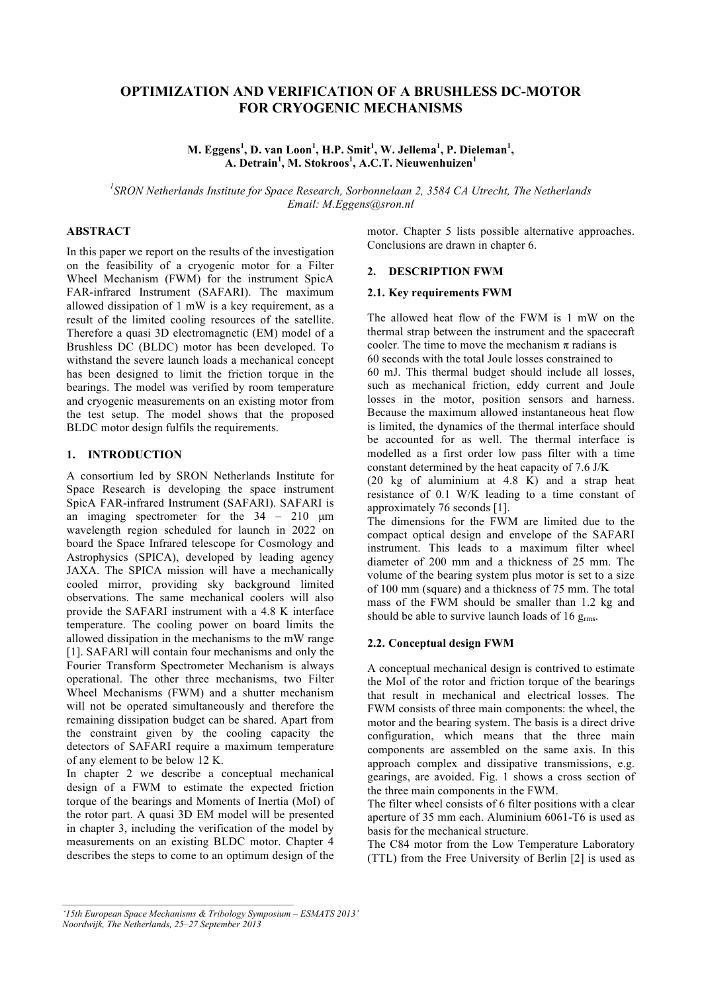# **OPTIMIZATION AND VERIFICATION OF A BRUSHLESS DC-MOTOR FOR CRYOGENIC MECHANISMS**

**M. Eggens<sup>1</sup> , D. van Loon<sup>1</sup> , H.P. Smit<sup>1</sup> , W. Jellema<sup>1</sup> , P. Dieleman<sup>1</sup> , A. Detrain<sup>1</sup> , M. Stokroos<sup>1</sup> , A.C.T. Nieuwenhuizen<sup>1</sup>**

*1 SRON Netherlands Institute for Space Research, Sorbonnelaan 2, 3584 CA Utrecht, The Netherlands Email: M.Eggens@sron.nl*

# **ABSTRACT**

In this paper we report on the results of the investigation on the feasibility of a cryogenic motor for a Filter Wheel Mechanism (FWM) for the instrument SpicA FAR-infrared Instrument (SAFARI). The maximum allowed dissipation of 1 mW is a key requirement, as a result of the limited cooling resources of the satellite. Therefore a quasi 3D electromagnetic (EM) model of a Brushless DC (BLDC) motor has been developed. To withstand the severe launch loads a mechanical concept has been designed to limit the friction torque in the bearings. The model was verified by room temperature and cryogenic measurements on an existing motor from the test setup. The model shows that the proposed BLDC motor design fulfils the requirements.

#### **1. INTRODUCTION**

A consortium led by SRON Netherlands Institute for Space Research is developing the space instrument SpicA FAR-infrared Instrument (SAFARI). SAFARI is an imaging spectrometer for the  $34 - 210$  µm wavelength region scheduled for launch in 2022 on board the Space Infrared telescope for Cosmology and Astrophysics (SPICA), developed by leading agency JAXA. The SPICA mission will have a mechanically cooled mirror, providing sky background limited observations. The same mechanical coolers will also provide the SAFARI instrument with a 4.8 K interface temperature. The cooling power on board limits the allowed dissipation in the mechanisms to the mW range [1]. SAFARI will contain four mechanisms and only the Fourier Transform Spectrometer Mechanism is always operational. The other three mechanisms, two Filter Wheel Mechanisms (FWM) and a shutter mechanism will not be operated simultaneously and therefore the remaining dissipation budget can be shared. Apart from the constraint given by the cooling capacity the detectors of SAFARI require a maximum temperature of any element to be below 12 K.

In chapter 2 we describe a conceptual mechanical design of a FWM to estimate the expected friction torque of the bearings and Moments of Inertia (MoI) of the rotor part. A quasi 3D EM model will be presented in chapter 3, including the verification of the model by measurements on an existing BLDC motor. Chapter 4 describes the steps to come to an optimum design of the

motor. Chapter 5 lists possible alternative approaches. Conclusions are drawn in chapter 6.

#### **2. DESCRIPTION FWM**

#### **2.1. Key requirements FWM**

The allowed heat flow of the FWM is 1 mW on the thermal strap between the instrument and the spacecraft cooler. The time to move the mechanism  $\pi$  radians is 60 seconds with the total Joule losses constrained to 60 mJ. This thermal budget should include all losses, such as mechanical friction, eddy current and Joule losses in the motor, position sensors and harness. Because the maximum allowed instantaneous heat flow is limited, the dynamics of the thermal interface should be accounted for as well. The thermal interface is modelled as a first order low pass filter with a time constant determined by the heat capacity of 7.6 J/K

(20 kg of aluminium at 4.8 K) and a strap heat resistance of 0.1 W/K leading to a time constant of approximately 76 seconds [1].

The dimensions for the FWM are limited due to the compact optical design and envelope of the SAFARI instrument. This leads to a maximum filter wheel diameter of 200 mm and a thickness of 25 mm. The volume of the bearing system plus motor is set to a size of 100 mm (square) and a thickness of 75 mm. The total mass of the FWM should be smaller than 1.2 kg and should be able to survive launch loads of 16  $g<sub>rms</sub>$ .

#### **2.2. Conceptual design FWM**

A conceptual mechanical design is contrived to estimate the MoI of the rotor and friction torque of the bearings that result in mechanical and electrical losses. The FWM consists of three main components: the wheel, the motor and the bearing system. The basis is a direct drive configuration, which means that the three main components are assembled on the same axis. In this approach complex and dissipative transmissions, e.g. gearings, are avoided. Fig. 1 shows a cross section of the three main components in the FWM.

The filter wheel consists of 6 filter positions with a clear aperture of 35 mm each. Aluminium 6061-T6 is used as basis for the mechanical structure.

The C84 motor from the Low Temperature Laboratory (TTL) from the Free University of Berlin [2] is used as

*<sup>&#</sup>x27;15th European Space Mechanisms & Tribology Symposium – ESMATS 2013' Noordwijk, The Netherlands, 25–27 September 2013*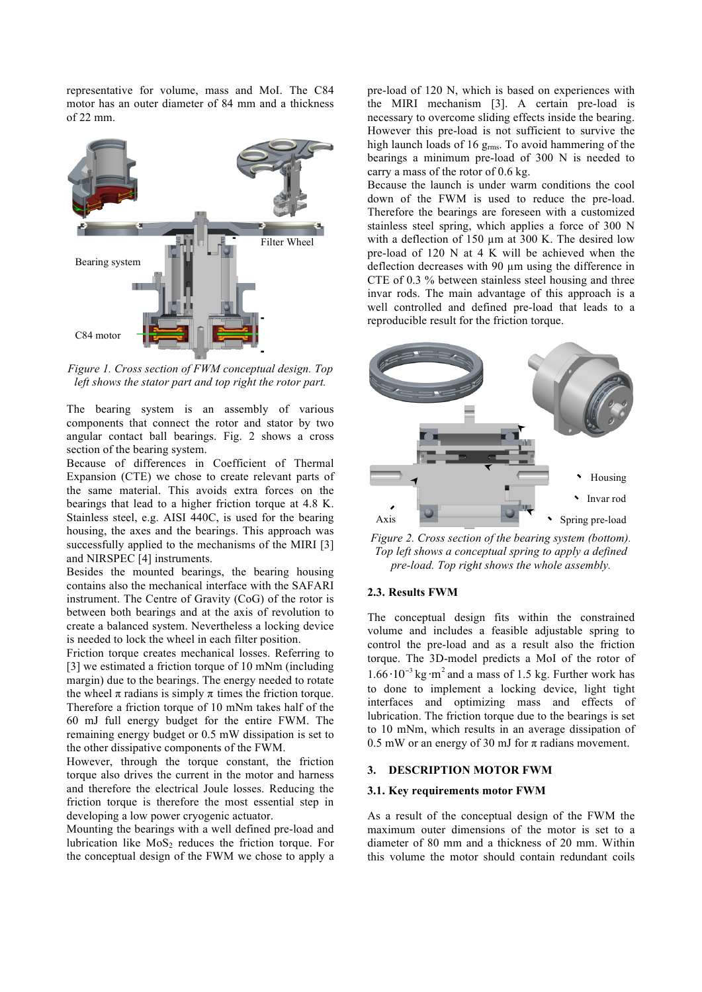representative for volume, mass and MoI. The C84 motor has an outer diameter of 84 mm and a thickness of 22 mm.



*Figure 1. Cross section of FWM conceptual design. Top left shows the stator part and top right the rotor part.*

The bearing system is an assembly of various components that connect the rotor and stator by two angular contact ball bearings. Fig. 2 shows a cross section of the bearing system.

Because of differences in Coefficient of Thermal Expansion (CTE) we chose to create relevant parts of the same material. This avoids extra forces on the bearings that lead to a higher friction torque at 4.8 K. Stainless steel, e.g. AISI 440C, is used for the bearing housing, the axes and the bearings. This approach was successfully applied to the mechanisms of the MIRI [3] and NIRSPEC [4] instruments.

Besides the mounted bearings, the bearing housing contains also the mechanical interface with the SAFARI instrument. The Centre of Gravity (CoG) of the rotor is between both bearings and at the axis of revolution to create a balanced system. Nevertheless a locking device is needed to lock the wheel in each filter position.

Friction torque creates mechanical losses. Referring to [3] we estimated a friction torque of 10 mNm (including margin) due to the bearings. The energy needed to rotate the wheel  $\pi$  radians is simply  $\pi$  times the friction torque. Therefore a friction torque of 10 mNm takes half of the 60 mJ full energy budget for the entire FWM. The remaining energy budget or 0.5 mW dissipation is set to the other dissipative components of the FWM.

However, through the torque constant, the friction torque also drives the current in the motor and harness and therefore the electrical Joule losses. Reducing the friction torque is therefore the most essential step in developing a low power cryogenic actuator.

Mounting the bearings with a well defined pre-load and lubrication like  $MoS<sub>2</sub>$  reduces the friction torque. For the conceptual design of the FWM we chose to apply a pre-load of 120 N, which is based on experiences with the MIRI mechanism [3]. A certain pre-load is necessary to overcome sliding effects inside the bearing. However this pre-load is not sufficient to survive the high launch loads of 16 g<sub>rms</sub>. To avoid hammering of the bearings a minimum pre-load of 300 N is needed to carry a mass of the rotor of 0.6 kg.

Because the launch is under warm conditions the cool down of the FWM is used to reduce the pre-load. Therefore the bearings are foreseen with a customized stainless steel spring, which applies a force of 300 N with a deflection of 150  $\mu$ m at 300 K. The desired low pre-load of 120 N at 4 K will be achieved when the deflection decreases with 90 µm using the difference in CTE of 0.3 % between stainless steel housing and three invar rods. The main advantage of this approach is a well controlled and defined pre-load that leads to a reproducible result for the friction torque.



*Figure 2. Cross section of the bearing system (bottom). Top left shows a conceptual spring to apply a defined pre-load. Top right shows the whole assembly.* 

# **2.3. Results FWM**

The conceptual design fits within the constrained volume and includes a feasible adjustable spring to control the pre-load and as a result also the friction torque. The 3D-model predicts a MoI of the rotor of  $1.66 \cdot 10^{-3}$  kg $\cdot$ m<sup>2</sup> and a mass of 1.5 kg. Further work has to done to implement a locking device, light tight interfaces and optimizing mass and effects of lubrication. The friction torque due to the bearings is set to 10 mNm, which results in an average dissipation of 0.5 mW or an energy of 30 mJ for  $\pi$  radians movement.

## **3. DESCRIPTION MOTOR FWM**

#### **3.1. Key requirements motor FWM**

As a result of the conceptual design of the FWM the maximum outer dimensions of the motor is set to a diameter of 80 mm and a thickness of 20 mm. Within this volume the motor should contain redundant coils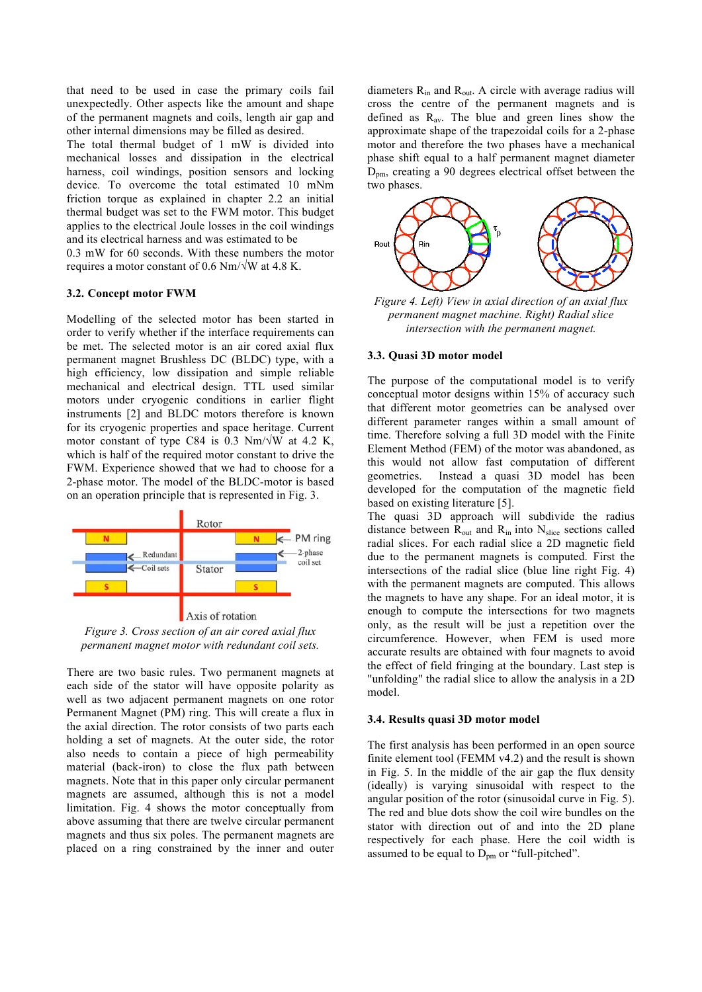that need to be used in case the primary coils fail unexpectedly. Other aspects like the amount and shape of the permanent magnets and coils, length air gap and other internal dimensions may be filled as desired.

The total thermal budget of 1 mW is divided into mechanical losses and dissipation in the electrical harness, coil windings, position sensors and locking device. To overcome the total estimated 10 mNm friction torque as explained in chapter 2.2 an initial thermal budget was set to the FWM motor. This budget applies to the electrical Joule losses in the coil windings and its electrical harness and was estimated to be

0.3 mW for 60 seconds. With these numbers the motor requires a motor constant of 0.6 Nm/√W at 4.8 K.

#### **3.2. Concept motor FWM**

Modelling of the selected motor has been started in order to verify whether if the interface requirements can be met. The selected motor is an air cored axial flux permanent magnet Brushless DC (BLDC) type, with a high efficiency, low dissipation and simple reliable mechanical and electrical design. TTL used similar motors under cryogenic conditions in earlier flight instruments [2] and BLDC motors therefore is known for its cryogenic properties and space heritage. Current motor constant of type C84 is 0.3 Nm/ $\sqrt{W}$  at 4.2 K, which is half of the required motor constant to drive the FWM. Experience showed that we had to choose for a 2-phase motor. The model of the BLDC-motor is based on an operation principle that is represented in Fig. 3.



*Figure 3. Cross section of an air cored axial flux permanent magnet motor with redundant coil sets.* 

There are two basic rules. Two permanent magnets at each side of the stator will have opposite polarity as well as two adjacent permanent magnets on one rotor Permanent Magnet (PM) ring. This will create a flux in the axial direction. The rotor consists of two parts each holding a set of magnets. At the outer side, the rotor also needs to contain a piece of high permeability material (back-iron) to close the flux path between magnets. Note that in this paper only circular permanent magnets are assumed, although this is not a model limitation. Fig. 4 shows the motor conceptually from above assuming that there are twelve circular permanent magnets and thus six poles. The permanent magnets are placed on a ring constrained by the inner and outer diameters  $R_{in}$  and  $R_{out}$ . A circle with average radius will cross the centre of the permanent magnets and is defined as  $R_{av}$ . The blue and green lines show the approximate shape of the trapezoidal coils for a 2-phase motor and therefore the two phases have a mechanical phase shift equal to a half permanent magnet diameter D<sub>pm</sub>, creating a 90 degrees electrical offset between the two phases.



*Figure 4. Left) View in axial direction of an axial flux permanent magnet machine. Right) Radial slice intersection with the permanent magnet.* 

#### **3.3. Quasi 3D motor model**

The purpose of the computational model is to verify conceptual motor designs within 15% of accuracy such that different motor geometries can be analysed over different parameter ranges within a small amount of time. Therefore solving a full 3D model with the Finite Element Method (FEM) of the motor was abandoned, as this would not allow fast computation of different geometries. Instead a quasi 3D model has been developed for the computation of the magnetic field based on existing literature [5].

The quasi 3D approach will subdivide the radius distance between  $R_{out}$  and  $R_{in}$  into  $N_{slice}$  sections called radial slices. For each radial slice a 2D magnetic field due to the permanent magnets is computed. First the intersections of the radial slice (blue line right Fig. 4) with the permanent magnets are computed. This allows the magnets to have any shape. For an ideal motor, it is enough to compute the intersections for two magnets only, as the result will be just a repetition over the circumference. However, when FEM is used more accurate results are obtained with four magnets to avoid the effect of field fringing at the boundary. Last step is "unfolding" the radial slice to allow the analysis in a 2D model.

#### **3.4. Results quasi 3D motor model**

The first analysis has been performed in an open source finite element tool (FEMM v4.2) and the result is shown in Fig. 5. In the middle of the air gap the flux density (ideally) is varying sinusoidal with respect to the angular position of the rotor (sinusoidal curve in Fig. 5). The red and blue dots show the coil wire bundles on the stator with direction out of and into the 2D plane respectively for each phase. Here the coil width is assumed to be equal to  $D_{pm}$  or "full-pitched".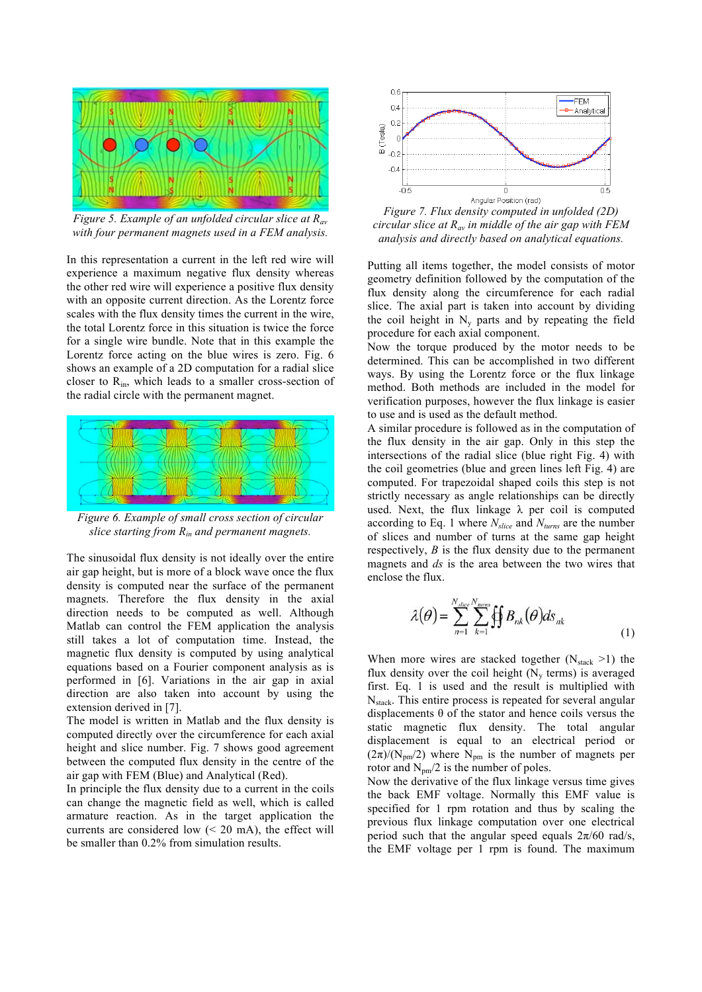

*Figure 5. Example of an unfolded circular slice at Rav with four permanent magnets used in a FEM analysis.* 

In this representation a current in the left red wire will experience a maximum negative flux density whereas the other red wire will experience a positive flux density with an opposite current direction. As the Lorentz force scales with the flux density times the current in the wire, the total Lorentz force in this situation is twice the force for a single wire bundle. Note that in this example the Lorentz force acting on the blue wires is zero. Fig. 6 shows an example of a 2D computation for a radial slice closer to  $R_{in}$ , which leads to a smaller cross-section of the radial circle with the permanent magnet.



*Figure 6. Example of small cross section of circular slice starting from Rin and permanent magnets.* 

The sinusoidal flux density is not ideally over the entire air gap height, but is more of a block wave once the flux density is computed near the surface of the permanent magnets. Therefore the flux density in the axial direction needs to be computed as well. Although Matlab can control the FEM application the analysis still takes a lot of computation time. Instead, the magnetic flux density is computed by using analytical equations based on a Fourier component analysis as is performed in [6]. Variations in the air gap in axial direction are also taken into account by using the extension derived in [7].

The model is written in Matlab and the flux density is computed directly over the circumference for each axial height and slice number. Fig. 7 shows good agreement between the computed flux density in the centre of the air gap with FEM (Blue) and Analytical (Red).

In principle the flux density due to a current in the coils can change the magnetic field as well, which is called armature reaction. As in the target application the currents are considered low  $( $20 \text{ mA}$ ),$  the effect will be smaller than 0.2% from simulation results.



*Figure 7. Flux density computed in unfolded (2D) circular slice at Rav in middle of the air gap with FEM analysis and directly based on analytical equations.* 

Putting all items together, the model consists of motor geometry definition followed by the computation of the flux density along the circumference for each radial slice. The axial part is taken into account by dividing the coil height in  $N_v$  parts and by repeating the field procedure for each axial component.

Now the torque produced by the motor needs to be determined. This can be accomplished in two different ways. By using the Lorentz force or the flux linkage method. Both methods are included in the model for verification purposes, however the flux linkage is easier to use and is used as the default method.

A similar procedure is followed as in the computation of the flux density in the air gap. Only in this step the intersections of the radial slice (blue right Fig. 4) with the coil geometries (blue and green lines left Fig. 4) are computed. For trapezoidal shaped coils this step is not strictly necessary as angle relationships can be directly used. Next, the flux linkage  $\lambda$  per coil is computed according to Eq. 1 where *Nslice* and *Nturns* are the number of slices and number of turns at the same gap height respectively, *B* is the flux density due to the permanent magnets and *ds* is the area between the two wires that enclose the flux.

$$
\lambda(\theta) = \sum_{n=1}^{N_{slice}} \sum_{k=1}^{N_{turn}} \oiint B_{nk}(\theta) ds_{nk}
$$
\n(1)

When more wires are stacked together  $(N_{\text{stack}} > 1)$  the flux density over the coil height  $(N_y \text{ terms})$  is averaged first. Eq. 1 is used and the result is multiplied with  $N_{stack}$ . This entire process is repeated for several angular displacements  $\theta$  of the stator and hence coils versus the static magnetic flux density. The total angular displacement is equal to an electrical period or  $(2\pi)/(N_{\text{pm}}/2)$  where  $N_{\text{pm}}$  is the number of magnets per rotor and  $N_{pm}/2$  is the number of poles.

Now the derivative of the flux linkage versus time gives the back EMF voltage. Normally this EMF value is specified for 1 rpm rotation and thus by scaling the previous flux linkage computation over one electrical period such that the angular speed equals  $2\pi/60$  rad/s, the EMF voltage per 1 rpm is found. The maximum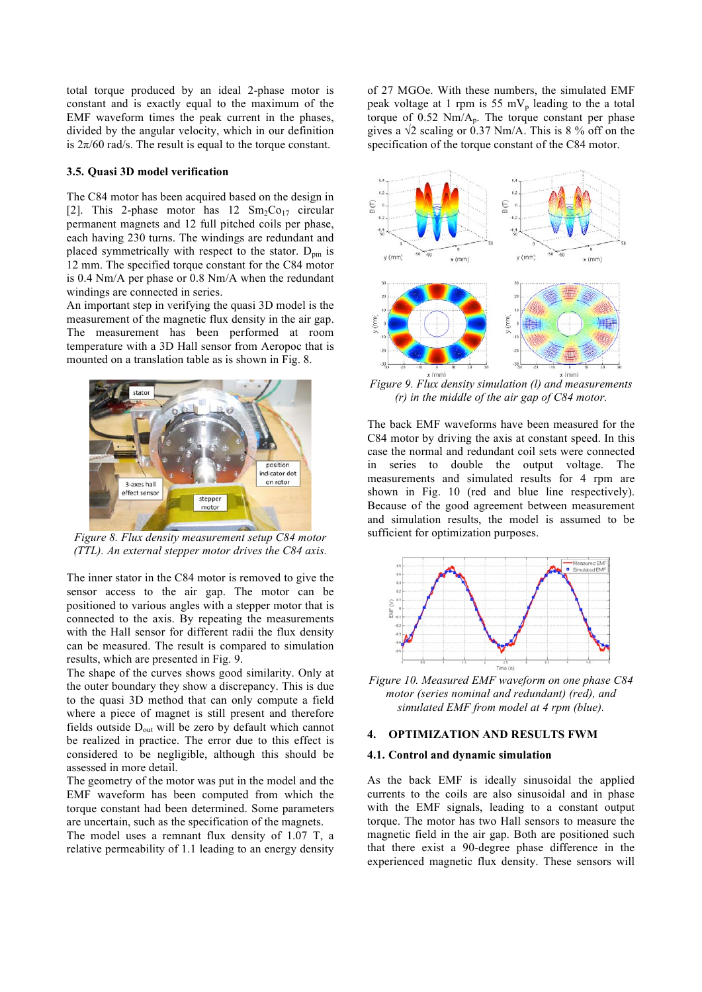total torque produced by an ideal 2-phase motor is constant and is exactly equal to the maximum of the EMF waveform times the peak current in the phases, divided by the angular velocity, which in our definition is  $2\pi/60$  rad/s. The result is equal to the torque constant.

#### **3.5. Quasi 3D model verification**

The C84 motor has been acquired based on the design in [2]. This 2-phase motor has  $12 \text{ Sm}_2\text{Co}_{17}$  circular permanent magnets and 12 full pitched coils per phase, each having 230 turns. The windings are redundant and placed symmetrically with respect to the stator.  $D_{nm}$  is 12 mm. The specified torque constant for the C84 motor is 0.4 Nm/A per phase or 0.8 Nm/A when the redundant windings are connected in series.

An important step in verifying the quasi 3D model is the measurement of the magnetic flux density in the air gap. The measurement has been performed at room temperature with a 3D Hall sensor from Aeropoc that is mounted on a translation table as is shown in Fig. 8.



*Figure 8. Flux density measurement setup C84 motor (TTL). An external stepper motor drives the C84 axis.*

The inner stator in the C84 motor is removed to give the sensor access to the air gap. The motor can be positioned to various angles with a stepper motor that is connected to the axis. By repeating the measurements with the Hall sensor for different radii the flux density can be measured. The result is compared to simulation results, which are presented in Fig. 9.

The shape of the curves shows good similarity. Only at the outer boundary they show a discrepancy. This is due to the quasi 3D method that can only compute a field where a piece of magnet is still present and therefore fields outside  $D_{out}$  will be zero by default which cannot be realized in practice. The error due to this effect is considered to be negligible, although this should be assessed in more detail.

The geometry of the motor was put in the model and the EMF waveform has been computed from which the torque constant had been determined. Some parameters are uncertain, such as the specification of the magnets.

The model uses a remnant flux density of 1.07 T, a relative permeability of 1.1 leading to an energy density of 27 MGOe. With these numbers, the simulated EMF peak voltage at 1 rpm is 55 mV<sub>p</sub> leading to the a total torque of 0.52 Nm/Ap. The torque constant per phase gives a  $\sqrt{2}$  scaling or 0.37 Nm/A. This is 8 % off on the specification of the torque constant of the C84 motor.



*Figure 9. Flux density simulation (l) and measurements (r) in the middle of the air gap of C84 motor.*

The back EMF waveforms have been measured for the C84 motor by driving the axis at constant speed. In this case the normal and redundant coil sets were connected in series to double the output voltage. The measurements and simulated results for 4 rpm are shown in Fig. 10 (red and blue line respectively). Because of the good agreement between measurement and simulation results, the model is assumed to be sufficient for optimization purposes.



*Figure 10. Measured EMF waveform on one phase C84 motor (series nominal and redundant) (red), and simulated EMF from model at 4 rpm (blue).* 

# **4. OPTIMIZATION AND RESULTS FWM**

#### **4.1. Control and dynamic simulation**

As the back EMF is ideally sinusoidal the applied currents to the coils are also sinusoidal and in phase with the EMF signals, leading to a constant output torque. The motor has two Hall sensors to measure the magnetic field in the air gap. Both are positioned such that there exist a 90-degree phase difference in the experienced magnetic flux density. These sensors will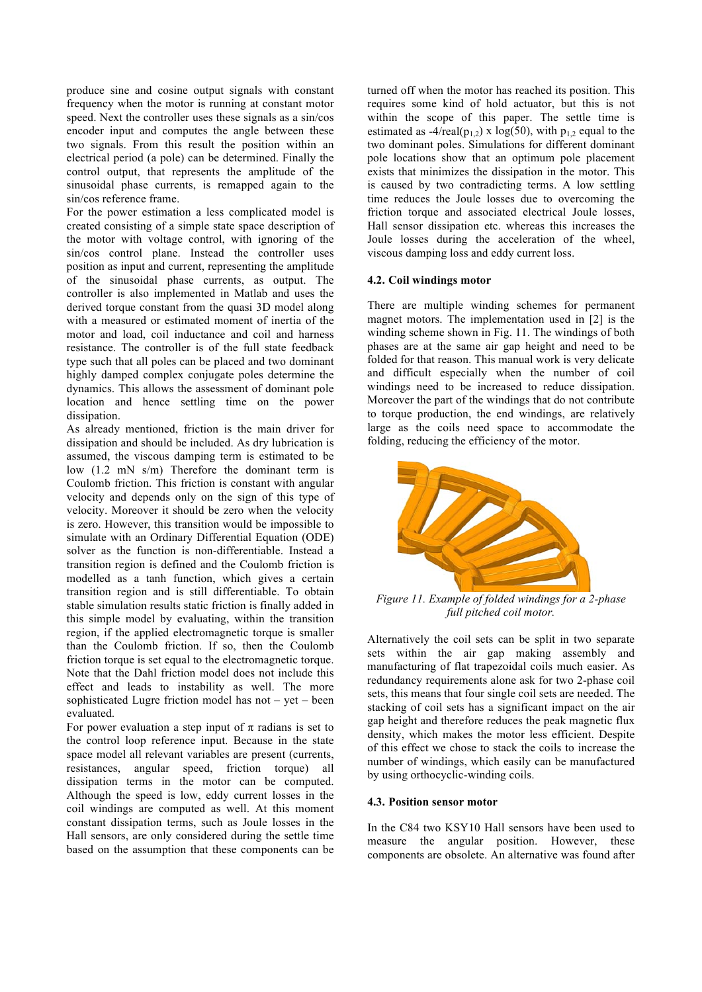produce sine and cosine output signals with constant frequency when the motor is running at constant motor speed. Next the controller uses these signals as a sin/cos encoder input and computes the angle between these two signals. From this result the position within an electrical period (a pole) can be determined. Finally the control output, that represents the amplitude of the sinusoidal phase currents, is remapped again to the sin/cos reference frame.

For the power estimation a less complicated model is created consisting of a simple state space description of the motor with voltage control, with ignoring of the sin/cos control plane. Instead the controller uses position as input and current, representing the amplitude of the sinusoidal phase currents, as output. The controller is also implemented in Matlab and uses the derived torque constant from the quasi 3D model along with a measured or estimated moment of inertia of the motor and load, coil inductance and coil and harness resistance. The controller is of the full state feedback type such that all poles can be placed and two dominant highly damped complex conjugate poles determine the dynamics. This allows the assessment of dominant pole location and hence settling time on the power dissipation.

As already mentioned, friction is the main driver for dissipation and should be included. As dry lubrication is assumed, the viscous damping term is estimated to be low (1.2 mN s/m) Therefore the dominant term is Coulomb friction. This friction is constant with angular velocity and depends only on the sign of this type of velocity. Moreover it should be zero when the velocity is zero. However, this transition would be impossible to simulate with an Ordinary Differential Equation (ODE) solver as the function is non-differentiable. Instead a transition region is defined and the Coulomb friction is modelled as a tanh function, which gives a certain transition region and is still differentiable. To obtain stable simulation results static friction is finally added in this simple model by evaluating, within the transition region, if the applied electromagnetic torque is smaller than the Coulomb friction. If so, then the Coulomb friction torque is set equal to the electromagnetic torque. Note that the Dahl friction model does not include this effect and leads to instability as well. The more sophisticated Lugre friction model has not – yet – been evaluated.

For power evaluation a step input of  $\pi$  radians is set to the control loop reference input. Because in the state space model all relevant variables are present (currents, resistances, angular speed, friction torque) all dissipation terms in the motor can be computed. Although the speed is low, eddy current losses in the coil windings are computed as well. At this moment constant dissipation terms, such as Joule losses in the Hall sensors, are only considered during the settle time based on the assumption that these components can be turned off when the motor has reached its position. This requires some kind of hold actuator, but this is not within the scope of this paper. The settle time is estimated as  $-4$ /real(p<sub>1,2</sub>) x log(50), with p<sub>1,2</sub> equal to the two dominant poles. Simulations for different dominant pole locations show that an optimum pole placement exists that minimizes the dissipation in the motor. This is caused by two contradicting terms. A low settling time reduces the Joule losses due to overcoming the friction torque and associated electrical Joule losses, Hall sensor dissipation etc. whereas this increases the Joule losses during the acceleration of the wheel, viscous damping loss and eddy current loss.

## **4.2. Coil windings motor**

There are multiple winding schemes for permanent magnet motors. The implementation used in [2] is the winding scheme shown in Fig. 11. The windings of both phases are at the same air gap height and need to be folded for that reason. This manual work is very delicate and difficult especially when the number of coil windings need to be increased to reduce dissipation. Moreover the part of the windings that do not contribute to torque production, the end windings, are relatively large as the coils need space to accommodate the folding, reducing the efficiency of the motor.



*Figure 11. Example of folded windings for a 2-phase full pitched coil motor.* 

Alternatively the coil sets can be split in two separate sets within the air gap making assembly and manufacturing of flat trapezoidal coils much easier. As redundancy requirements alone ask for two 2-phase coil sets, this means that four single coil sets are needed. The stacking of coil sets has a significant impact on the air gap height and therefore reduces the peak magnetic flux density, which makes the motor less efficient. Despite of this effect we chose to stack the coils to increase the number of windings, which easily can be manufactured by using orthocyclic-winding coils.

#### **4.3. Position sensor motor**

In the C84 two KSY10 Hall sensors have been used to measure the angular position. However, these components are obsolete. An alternative was found after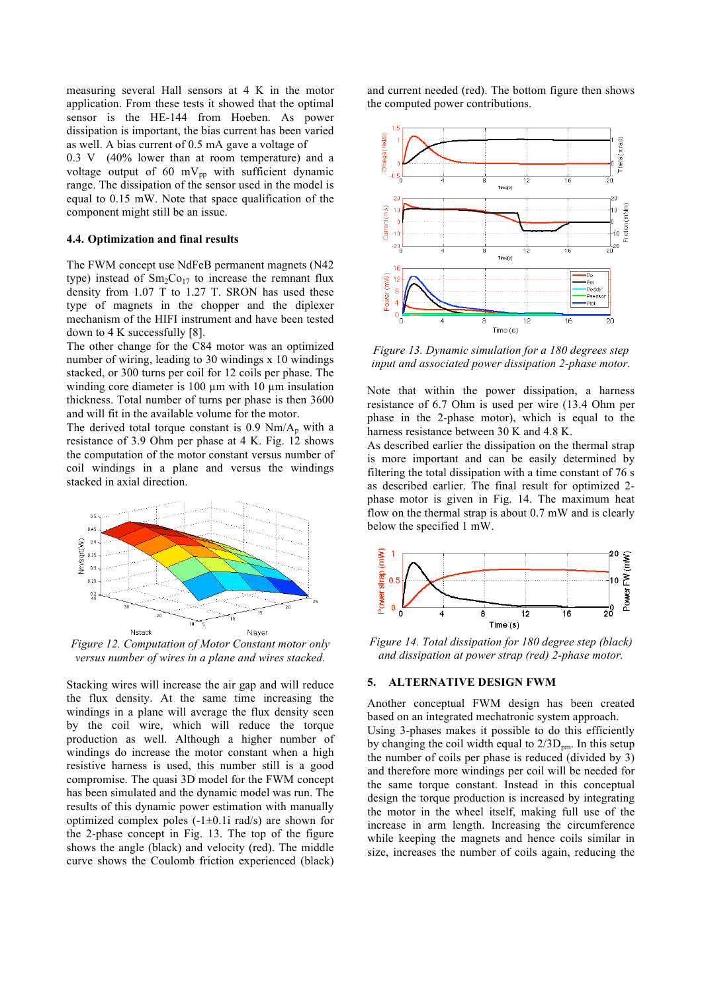measuring several Hall sensors at 4 K in the motor application. From these tests it showed that the optimal sensor is the HE-144 from Hoeben. As power dissipation is important, the bias current has been varied as well. A bias current of 0.5 mA gave a voltage of

0.3 V (40% lower than at room temperature) and a voltage output of 60 mV $_{\text{pp}}$  with sufficient dynamic range. The dissipation of the sensor used in the model is equal to 0.15 mW. Note that space qualification of the component might still be an issue.

#### **4.4. Optimization and final results**

The FWM concept use NdFeB permanent magnets (N42 type) instead of  $Sm<sub>2</sub>Co<sub>17</sub>$  to increase the remnant flux density from 1.07 T to 1.27 T. SRON has used these type of magnets in the chopper and the diplexer mechanism of the HIFI instrument and have been tested down to 4 K successfully [8].

The other change for the C84 motor was an optimized number of wiring, leading to 30 windings x 10 windings stacked, or 300 turns per coil for 12 coils per phase. The winding core diameter is 100  $\mu$ m with 10  $\mu$ m insulation thickness. Total number of turns per phase is then 3600 and will fit in the available volume for the motor.

The derived total torque constant is  $0.9 \text{ Nm/A}_p$  with a resistance of 3.9 Ohm per phase at 4 K. Fig. 12 shows the computation of the motor constant versus number of coil windings in a plane and versus the windings stacked in axial direction.



*Figure 12. Computation of Motor Constant motor only versus number of wires in a plane and wires stacked.* 

Stacking wires will increase the air gap and will reduce the flux density. At the same time increasing the windings in a plane will average the flux density seen by the coil wire, which will reduce the torque production as well. Although a higher number of windings do increase the motor constant when a high resistive harness is used, this number still is a good compromise. The quasi 3D model for the FWM concept has been simulated and the dynamic model was run. The results of this dynamic power estimation with manually optimized complex poles  $(-1\pm 0.1i$  rad/s) are shown for the 2-phase concept in Fig. 13. The top of the figure shows the angle (black) and velocity (red). The middle curve shows the Coulomb friction experienced (black)

and current needed (red). The bottom figure then shows the computed power contributions.



*Figure 13. Dynamic simulation for a 180 degrees step input and associated power dissipation 2-phase motor.* 

Note that within the power dissipation, a harness resistance of 6.7 Ohm is used per wire (13.4 Ohm per phase in the 2-phase motor), which is equal to the harness resistance between 30 K and 4.8 K.

As described earlier the dissipation on the thermal strap is more important and can be easily determined by filtering the total dissipation with a time constant of 76 s as described earlier. The final result for optimized 2 phase motor is given in Fig. 14. The maximum heat flow on the thermal strap is about 0.7 mW and is clearly below the specified 1 mW.



*Figure 14. Total dissipation for 180 degree step (black) and dissipation at power strap (red) 2-phase motor.* 

#### **5. ALTERNATIVE DESIGN FWM**

Another conceptual FWM design has been created based on an integrated mechatronic system approach.

Using 3-phases makes it possible to do this efficiently by changing the coil width equal to  $2/3D_{\text{nm}}$ . In this setup the number of coils per phase is reduced (divided by 3) and therefore more windings per coil will be needed for the same torque constant. Instead in this conceptual design the torque production is increased by integrating the motor in the wheel itself, making full use of the increase in arm length. Increasing the circumference while keeping the magnets and hence coils similar in size, increases the number of coils again, reducing the